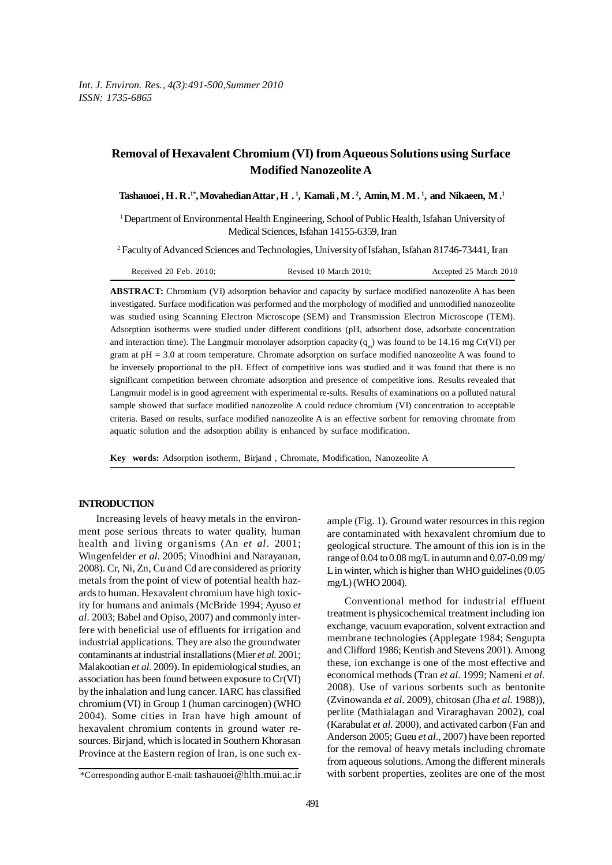# **Removal of Hexavalent Chromium (VI) from Aqueous Solutions using Surface Modified Nanozeolite A**

**Tashauoei , H . R .1\*, Movahedian Attar , H . 1 , Kamali , M . 2 , Amin, M . M . 1 , and Nikaeen, M .1**

<sup>1</sup>Department of Environmental Health Engineering, School of Public Health, Isfahan University of Medical Sciences, Isfahan 14155-6359, Iran

2 Faculty of Advanced Sciences and Technologies, University of Isfahan, Isfahan 81746-73441, Iran

|  | Received $20$ Feb. $2010$ : | Revised 10 March 2010: | Accepted 25 March 2010 |
|--|-----------------------------|------------------------|------------------------|
|--|-----------------------------|------------------------|------------------------|

**ABSTRACT:** Chromium (VI) adsorption behavior and capacity by surface modified nanozeolite A has been investigated. Surface modification was performed and the morphology of modified and unmodified nanozeolite was studied using Scanning Electron Microscope (SEM) and Transmission Electron Microscope (TEM). Adsorption isotherms were studied under different conditions (pH, adsorbent dose, adsorbate concentration and interaction time). The Langmuir monolayer adsorption capacity  $(q_{m})$  was found to be 14.16 mg Cr(VI) per gram at pH = 3.0 at room temperature. Chromate adsorption on surface modified nanozeolite A was found to be inversely proportional to the pH. Effect of competitive ions was studied and it was found that there is no significant competition between chromate adsorption and presence of competitive ions. Results revealed that Langmuir model is in good agreement with experimental re-sults. Results of examinations on a polluted natural sample showed that surface modified nanozeolite A could reduce chromium (VI) concentration to acceptable criteria. Based on results, surface modified nanozeolite A is an effective sorbent for removing chromate from aquatic solution and the adsorption ability is enhanced by surface modification.

**Key words:** Adsorption isotherm, Birjand , Chromate, Modification, Nanozeolite A

#### **INTRODUCTION**

Increasing levels of heavy metals in the environment pose serious threats to water quality, human health and living organisms (An *et al.* 2001; Wingenfelder *et al.* 2005; Vinodhini and Narayanan, 2008). Cr, Ni, Zn, Cu and Cd are considered as priority metals from the point of view of potential health hazards to human. Hexavalent chromium have high toxicity for humans and animals (McBride 1994; Ayuso *et al.* 2003; Babel and Opiso, 2007) and commonly interfere with beneficial use of effluents for irrigation and industrial applications. They are also the groundwater contaminants at industrial installations (Mier *et al.* 2001; Malakootian *et al.* 2009). In epidemiological studies, an association has been found between exposure to Cr(VI) by the inhalation and lung cancer. IARC has classified chromium (VI) in Group 1 (human carcinogen) (WHO 2004). Some cities in Iran have high amount of hexavalent chromium contents in ground water resources. Birjand, which is located in Southern Khorasan Province at the Eastern region of Iran, is one such ex-

ample (Fig. 1). Ground water resources in this region are contaminated with hexavalent chromium due to geological structure. The amount of this ion is in the range of 0.04 to 0.08 mg/L in autumn and 0.07-0.09 mg/ L in winter, which is higher than WHO guidelines  $(0.05)$ mg/L) (WHO 2004).

Conventional method for industrial effluent treatment is physicochemical treatment including ion exchange, vacuum evaporation, solvent extraction and membrane technologies (Applegate 1984; Sengupta and Clifford 1986; Kentish and Stevens 2001). Among these, ion exchange is one of the most effective and economical methods (Tran *et al.* 1999; Nameni *et al.* 2008). Use of various sorbents such as bentonite (Zvinowanda *et al.* 2009), chitosan (Jha *et al.* 1988)), perlite (Mathialagan and Viraraghavan 2002), coal (Karabulat *et al.* 2000), and activated carbon (Fan and Anderson 2005; Gueu *et al.,* 2007) have been reported for the removal of heavy metals including chromate from aqueous solutions. Among the different minerals with sorbent properties, zeolites are one of the most

<sup>\*</sup>Corresponding author E-mail: tashauoei@hlth.mui.ac.ir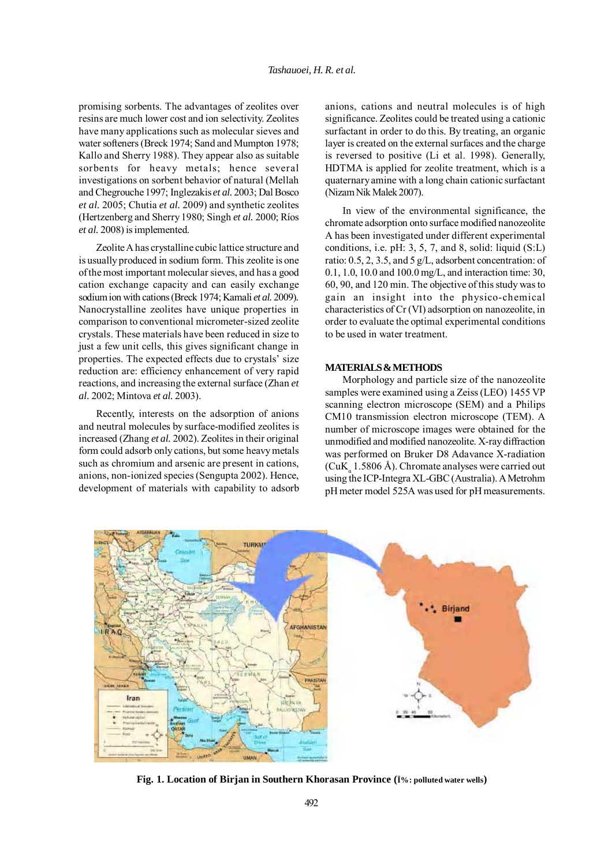promising sorbents. The advantages of zeolites over resins are much lower cost and ion selectivity. Zeolites have many applications such as molecular sieves and water softeners (Breck 1974; Sand and Mumpton 1978; Kallo and Sherry 1988). They appear also as suitable sorbents for heavy metals; hence several investigations on sorbent behavior of natural (Mellah and Chegrouche 1997; Inglezakis *et al.* 2003; Dal Bosco *et al.* 2005; Chutia *et al.* 2009) and synthetic zeolites (Hertzenberg and Sherry 1980; Singh *et al.* 2000; Ríos *et al.* 2008) is implemented.

Zeolite A has crystalline cubic lattice structure and is usually produced in sodium form. This zeolite is one of the most important molecular sieves, and has a good cation exchange capacity and can easily exchange sodium ion with cations (Breck 1974; Kamali *et al.* 2009)*.* Nanocrystalline zeolites have unique properties in comparison to conventional micrometer-sized zeolite crystals. These materials have been reduced in size to just a few unit cells, this gives significant change in properties. The expected effects due to crystals' size reduction are: efficiency enhancement of very rapid reactions, and increasing the external surface (Zhan *et al.* 2002; Mintova *et al.* 2003).

Recently, interests on the adsorption of anions and neutral molecules by surface-modified zeolites is increased (Zhang *et al.* 2002). Zeolites in their original form could adsorb only cations, but some heavy metals such as chromium and arsenic are present in cations, anions, non-ionized species (Sengupta 2002). Hence, development of materials with capability to adsorb anions, cations and neutral molecules is of high significance. Zeolites could be treated using a cationic surfactant in order to do this. By treating, an organic layer is created on the external surfaces and the charge is reversed to positive (Li et al. 1998). Generally, HDTMA is applied for zeolite treatment, which is a quaternary amine with a long chain cationic surfactant (Nizam Nik Malek 2007).

In view of the environmental significance, the chromate adsorption onto surface modified nanozeolite A has been investigated under different experimental conditions, i.e. pH: 3, 5, 7, and 8, solid: liquid (S:L) ratio: 0.5, 2, 3.5, and 5 g/L, adsorbent concentration: of 0.1, 1.0, 10.0 and 100.0 mg/L, and interaction time: 30, 60, 90, and 120 min. The objective of this study was to gain an insight into the physico-chemical characteristics of Cr (VI) adsorption on nanozeolite, in order to evaluate the optimal experimental conditions to be used in water treatment.

# **MATERIALS & METHODS**

Morphology and particle size of the nanozeolite samples were examined using a Zeiss (LEO) 1455 VP scanning electron microscope (SEM) and a Philips CM10 transmission electron microscope (TEM). A number of microscope images were obtained for the unmodified and modified nanozeolite. X-ray diffraction was performed on Bruker D8 Adavance X-radiation (CuK $_{\alpha}$  1.5806 Å). Chromate analyses were carried out using the ICP-Integra XL-GBC (Australia). A Metrohm pH meter model 525A was used for pH measurements.



**Fig. 1. Location of Birjan in Southern Khorasan Province (Ï%: polluted water wells)**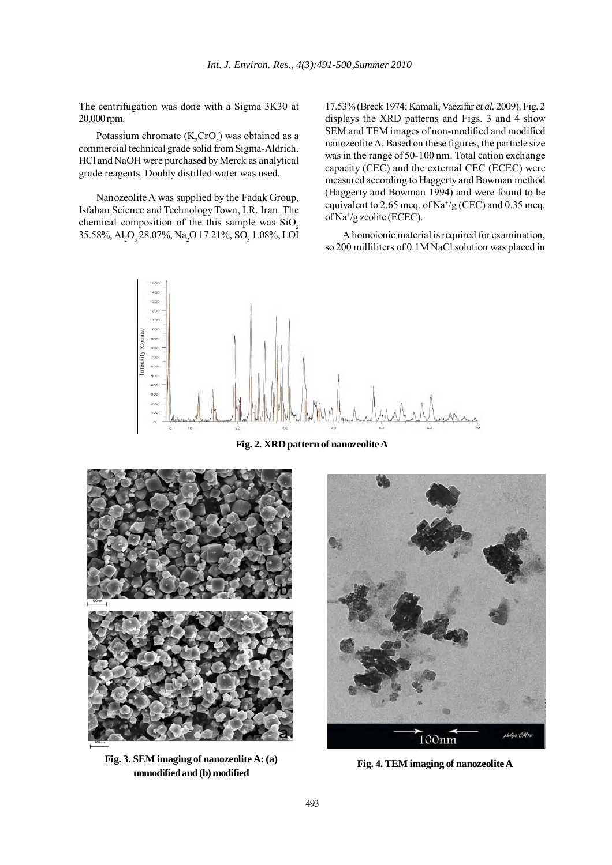The centrifugation was done with a Sigma 3K30 at 20,000 rpm.

Potassium chromate  $(K_2$ CrO<sub>4</sub>) was obtained as a commercial technical grade solid from Sigma-Aldrich. HCl and NaOH were purchased by Merck as analytical grade reagents. Doubly distilled water was used.

Nanozeolite A was supplied by the Fadak Group, Isfahan Science and Technology Town, I.R. Iran. The chemical composition of the this sample was  $SiO<sub>2</sub>$ 35.58%, Al<sub>2</sub>O<sub>3</sub> 28.07%, Na<sub>2</sub>O 17.21%, SO<sub>3</sub> 1.08%, LOI

17.53% (Breck 1974; Kamali, Vaezifar *et al.* 2009). Fig. 2 displays the XRD patterns and Figs. 3 and 4 show SEM and TEM images of non-modified and modified nanozeolite A. Based on these figures, the particle size was in the range of 50-100 nm. Total cation exchange capacity (CEC) and the external CEC (ECEC) were measured according to Haggerty and Bowman method (Haggerty and Bowman 1994) and were found to be equivalent to 2.65 meq. of  $\text{Na}^+\text{/g}$  (CEC) and 0.35 meq. of Na+/g zeolite (ECEC).

A homoionic material is required for examination, so 200 milliliters of 0.1M NaCl solution was placed in



**Fig. 2. XRD pattern of nanozeolite A**



**Fig. 3. SEM imaging of nanozeolite A: (a) unmodified and (b) modified Fig. 4. TEM imaging of nanozeolite A** 

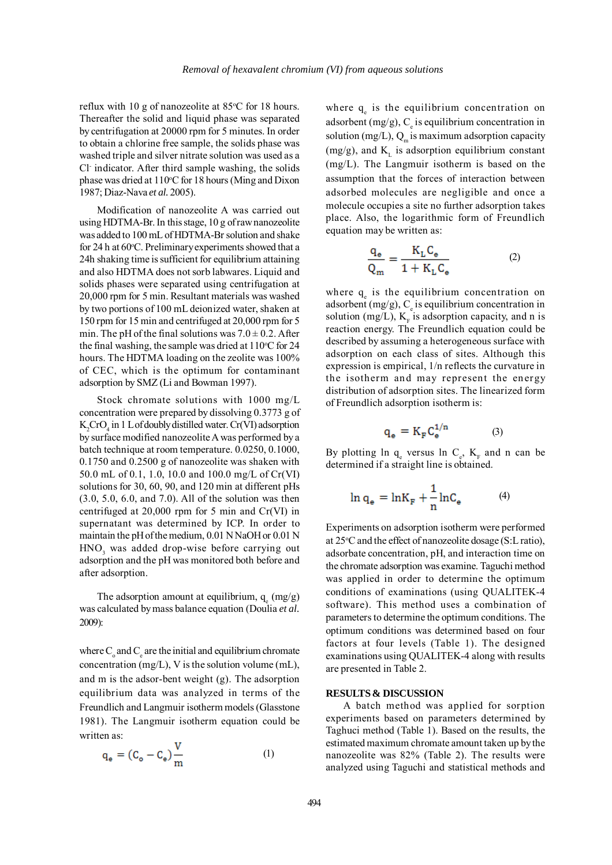reflux with 10 g of nanozeolite at 85°C for 18 hours. Thereafter the solid and liquid phase was separated by centrifugation at 20000 rpm for 5 minutes. In order to obtain a chlorine free sample, the solids phase was washed triple and silver nitrate solution was used as a Cl- indicator. After third sample washing, the solids phase was dried at 110°C for 18 hours (Ming and Dixon 1987; Diaz-Nava *et al.* 2005).

Modification of nanozeolite A was carried out using HDTMA-Br. In this stage, 10 g of raw nanozeolite was added to 100 mL of HDTMA-Br solution and shake for 24 h at 60°C. Preliminary experiments showed that a 24h shaking time is sufficient for equilibrium attaining and also HDTMA does not sorb labwares. Liquid and solids phases were separated using centrifugation at 20,000 rpm for 5 min. Resultant materials was washed by two portions of 100 mL deionized water, shaken at 150 rpm for 15 min and centrifuged at 20,000 rpm for 5 min. The pH of the final solutions was  $7.0 \pm 0.2$ . After the final washing, the sample was dried at  $110^{\circ}$ C for 24 hours. The HDTMA loading on the zeolite was 100% of CEC, which is the optimum for contaminant adsorption by SMZ (Li and Bowman 1997).

Stock chromate solutions with 1000 mg/L concentration were prepared by dissolving 0.3773 g of  $K_2$ CrO<sub>4</sub> in 1 L of doubly distilled water. Cr(VI) adsorption by surface modified nanozeolite A was performed by a batch technique at room temperature. 0.0250, 0.1000, 0.1750 and 0.2500 g of nanozeolite was shaken with 50.0 mL of 0.1, 1.0, 10.0 and 100.0 mg/L of Cr(VI) solutions for 30, 60, 90, and 120 min at different pHs (3.0, 5.0, 6.0, and 7.0). All of the solution was then centrifuged at 20,000 rpm for 5 min and Cr(VI) in supernatant was determined by ICP. In order to maintain the pH of the medium, 0.01 N NaOH or 0.01 N HNO<sub>3</sub> was added drop-wise before carrying out adsorption and the pH was monitored both before and after adsorption.

The adsorption amount at equilibrium,  $q_e$  (mg/g) was calculated by mass balance equation (Doulia *et al.* 2009):

where  $C_{\circ}$  and  $C_{e}$  are the initial and equilibrium chromate concentration (mg/L), V is the solution volume (mL), and m is the adsor-bent weight (g). The adsorption equilibrium data was analyzed in terms of the Freundlich and Langmuir isotherm models (Glasstone 1981). The Langmuir isotherm equation could be written as:

$$
q_e = (C_o - C_e) \frac{V}{m}
$$
 (1)

where  $q_e$  is the equilibrium concentration on adsorbent (mg/g),  $C_e$  is equilibrium concentration in solution (mg/L),  $Q_m$  is maximum adsorption capacity (mg/g), and  $K_i$  is adsorption equilibrium constant (mg/L). The Langmuir isotherm is based on the assumption that the forces of interaction between adsorbed molecules are negligible and once a molecule occupies a site no further adsorption takes place. Also, the logarithmic form of Freundlich equation may be written as:

$$
\frac{q_e}{Q_m} = \frac{K_L C_e}{1 + K_L C_e}
$$
 (2)

where  $q_e$  is the equilibrium concentration on adsorbent (mg/g),  $C_e$  is equilibrium concentration in solution (mg/L),  $K_F$  is adsorption capacity, and n is reaction energy. The Freundlich equation could be described by assuming a heterogeneous surface with adsorption on each class of sites. Although this expression is empirical, 1/n reflects the curvature in the isotherm and may represent the energy distribution of adsorption sites. The linearized form of Freundlich adsorption isotherm is:

$$
q_e = K_F C_e^{1/n} \tag{3}
$$

By plotting  $\ln q_e$  versus  $\ln C_e$ ,  $K_F$  and n can be determined if a straight line is obtained.

$$
\ln q_e = \ln K_F + \frac{1}{n} \ln C_e \tag{4}
$$

Experiments on adsorption isotherm were performed at 25°C and the effect of nanozeolite dosage (S:L ratio), adsorbate concentration, pH, and interaction time on the chromate adsorption was examine. Taguchi method was applied in order to determine the optimum conditions of examinations (using QUALITEK-4 software). This method uses a combination of parameters to determine the optimum conditions. The optimum conditions was determined based on four factors at four levels (Table 1). The designed examinations using QUALITEK-4 along with results are presented in Table 2.

### **RESULTS & DISCUSSION**

A batch method was applied for sorption experiments based on parameters determined by Taghuci method (Table 1). Based on the results, the estimated maximum chromate amount taken up by the nanozeolite was 82% (Table 2). The results were analyzed using Taguchi and statistical methods and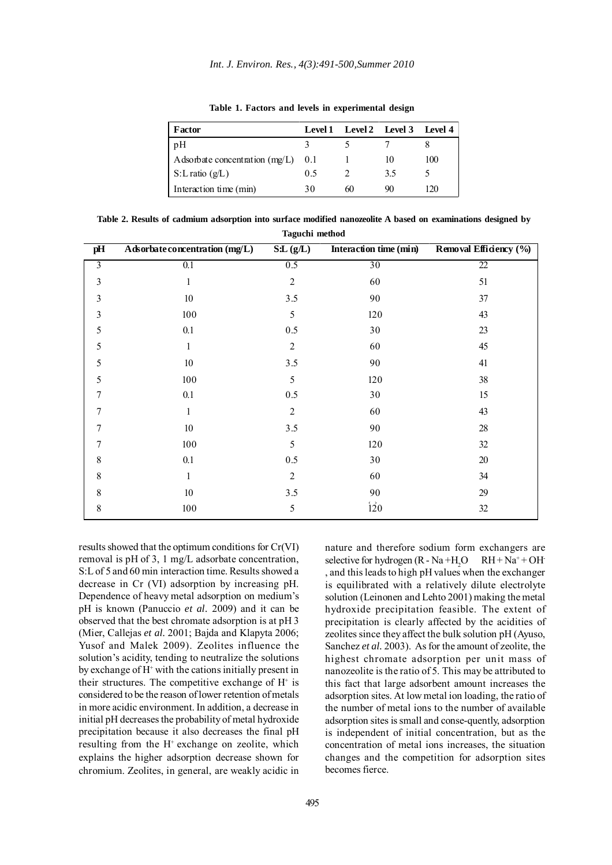| Factor                               |     | Level 1 Level 2 Level 3 |    | Level 4 |
|--------------------------------------|-----|-------------------------|----|---------|
| pH                                   |     |                         |    |         |
| Adsorbate concentration $(mg/L)$ 0.1 |     |                         | 10 | 100     |
| $S: L \text{ ratio } (g/L)$          | 0.5 |                         | 35 |         |
| Interaction time (min)               | 30  | 60                      | 90 | 120     |

**Table 1. Factors and levels in experimental design**

**Table 2. Results of cadmium adsorption into surface modified nanozeolite A based on examinations designed by Taguchi method**

| pH             | Adsorbate concentration (mg/L) | S:L(g/L)       | Interaction time (min) | Removal Efficiency (%) |
|----------------|--------------------------------|----------------|------------------------|------------------------|
| $\overline{3}$ | 0.1                            | 0.5            | 30                     | 22                     |
| $\mathfrak{Z}$ | $\mathbf{1}$                   | $\overline{2}$ | 60                     | 51                     |
| $\mathfrak{Z}$ | $10\,$                         | 3.5            | 90                     | 37                     |
| 3              | 100                            | 5              | 120                    | 43                     |
| 5              | 0.1                            | $0.5\,$        | 30                     | 23                     |
| 5              | 1                              | $\overline{2}$ | 60                     | 45                     |
| 5              | $10\,$                         | 3.5            | 90                     | 41                     |
| 5              | 100                            | 5              | 120                    | 38                     |
| 7              | 0.1                            | $0.5\,$        | 30                     | 15                     |
| 7              | $\mathbf{1}$                   | $\overline{c}$ | 60                     | 43                     |
| 7              | $10\,$                         | 3.5            | 90                     | $28\,$                 |
| 7              | 100                            | 5              | 120                    | $32\,$                 |
| 8              | $0.1\,$                        | $0.5\,$        | $30\,$                 | $20\,$                 |
| 8              | $\mathbf{1}$                   | $\overline{c}$ | 60                     | 34                     |
| 8              | 10 <sup>10</sup>               | $3.5$          | 90                     | 29                     |
| 8              | 100                            | 5              | 120                    | $32\,$                 |

results showed that the optimum conditions for Cr(VI) removal is pH of 3, 1 mg/L adsorbate concentration, S:L of 5 and 60 min interaction time. Results showed a decrease in Cr (VI) adsorption by increasing pH. Dependence of heavy metal adsorption on medium's pH is known (Panuccio *et al.* 2009) and it can be observed that the best chromate adsorption is at pH 3 (Mier, Callejas *et al.* 2001; Bajda and Klapyta 2006; Yusof and Malek 2009). Zeolites influence the solution's acidity, tending to neutralize the solutions by exchange of H+ with the cations initially present in their structures. The competitive exchange of  $H^+$  is considered to be the reason of lower retention of metals in more acidic environment. In addition, a decrease in initial pH decreases the probability of metal hydroxide precipitation because it also decreases the final pH resulting from the H<sup>+</sup> exchange on zeolite, which explains the higher adsorption decrease shown for chromium. Zeolites, in general, are weakly acidic in

nature and therefore sodium form exchangers are selective for hydrogen  $(R - Na + H<sub>2</sub>O$  $O$   $RH + Na^+ + OH^-$ , and this leads to high pH values when the exchanger is equilibrated with a relatively dilute electrolyte solution (Leinonen and Lehto 2001) making the metal hydroxide precipitation feasible. The extent of precipitation is clearly affected by the acidities of zeolites since they affect the bulk solution pH (Ayuso, Sanchez *et al.* 2003). As for the amount of zeolite, the highest chromate adsorption per unit mass of nanozeolite is the ratio of 5. This may be attributed to this fact that large adsorbent amount increases the adsorption sites. At low metal ion loading, the ratio of the number of metal ions to the number of available adsorption sites is small and conse-quently, adsorption is independent of initial concentration, but as the concentration of metal ions increases, the situation changes and the competition for adsorption sites becomes fierce.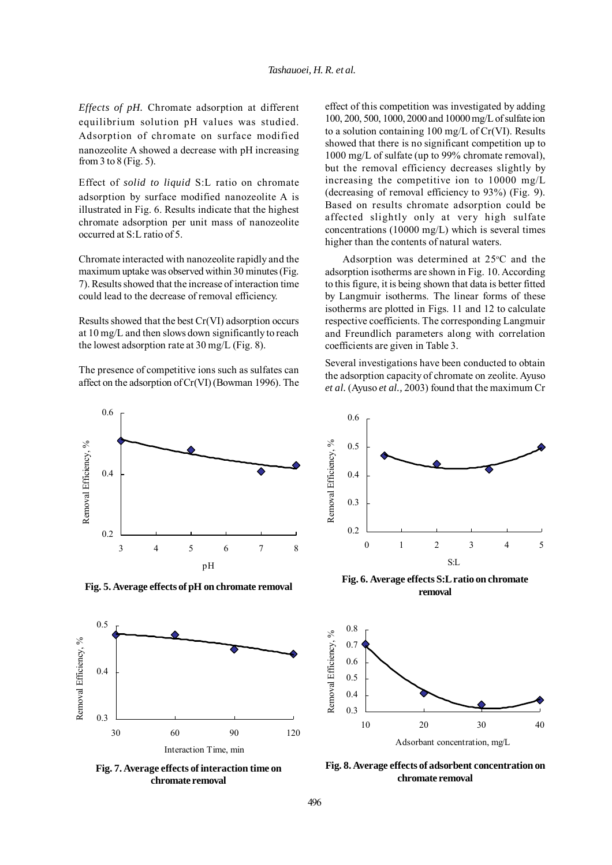*Effects of pH.* Chromate adsorption at different equilibrium solution pH values was studied. Adsorption of chromate on surface modified nanozeolite A showed a decrease with pH increasing from 3 to 8 (Fig. 5).

Effect of *solid to liquid* S:L ratio on chromate adsorption by surface modified nanozeolite A is illustrated in Fig. 6. Results indicate that the highest chromate adsorption per unit mass of nanozeolite occurred at S:L ratio of 5.

Chromate interacted with nanozeolite rapidly and the maximum uptake was observed within 30 minutes (Fig. 7). Results showed that the increase of interaction time could lead to the decrease of removal efficiency.

Results showed that the best Cr(VI) adsorption occurs at 10 mg/L and then slows down significantly to reach the lowest adsorption rate at 30 mg/L (Fig. 8).

The presence of competitive ions such as sulfates can affect on the adsorption of Cr(VI) (Bowman 1996). The effect of this competition was investigated by adding 100, 200, 500, 1000, 2000 and 10000 mg/L of sulfate ion to a solution containing 100 mg/L of Cr(VI). Results showed that there is no significant competition up to 1000 mg/L of sulfate (up to 99% chromate removal), but the removal efficiency decreases slightly by increasing the competitive ion to 10000 mg/L (decreasing of removal efficiency to 93%) (Fig. 9). Based on results chromate adsorption could be affected slightly only at very high sulfate concentrations (10000 mg/L) which is several times higher than the contents of natural waters.

Adsorption was determined at  $25^{\circ}$ C and the adsorption isotherms are shown in Fig. 10. According to this figure, it is being shown that data is better fitted by Langmuir isotherms. The linear forms of these isotherms are plotted in Figs. 11 and 12 to calculate respective coefficients. The corresponding Langmuir and Freundlich parameters along with correlation coefficients are given in Table 3.

Several investigations have been conducted to obtain the adsorption capacity of chromate on zeolite. Ayuso *et al.* (Ayuso *et al.,* 2003) found that the maximum Cr



**Fig. 5. Average effects of pH on chromate removal**



**Fig. 7. Average effects of interaction time on chromate removal**



**Fig. 6. Average effects S:L ratio on chromate removal**



**Fig. 8. Average effects of adsorbent concentration on chromate removal**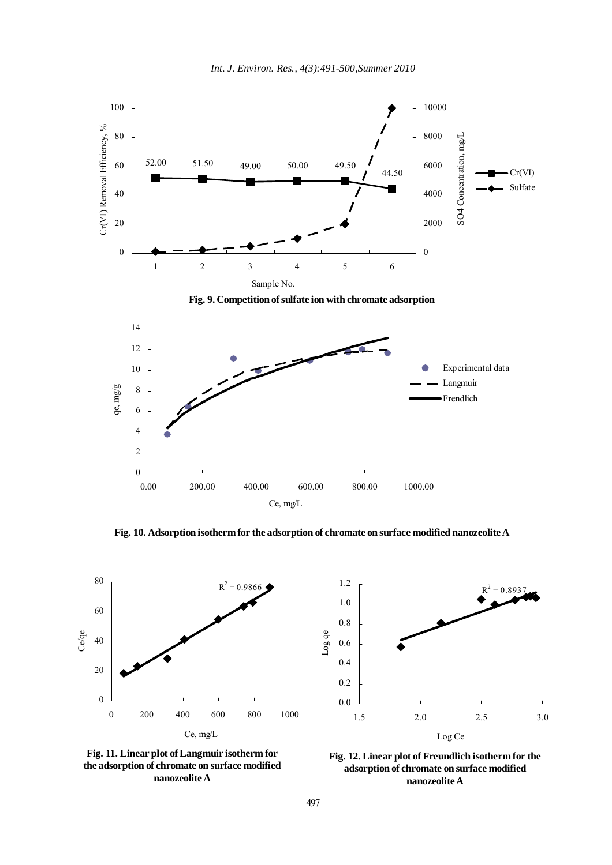

**Fig. 10. Adsorption isotherm for the adsorption of chromate on surface modified nanozeolite A**







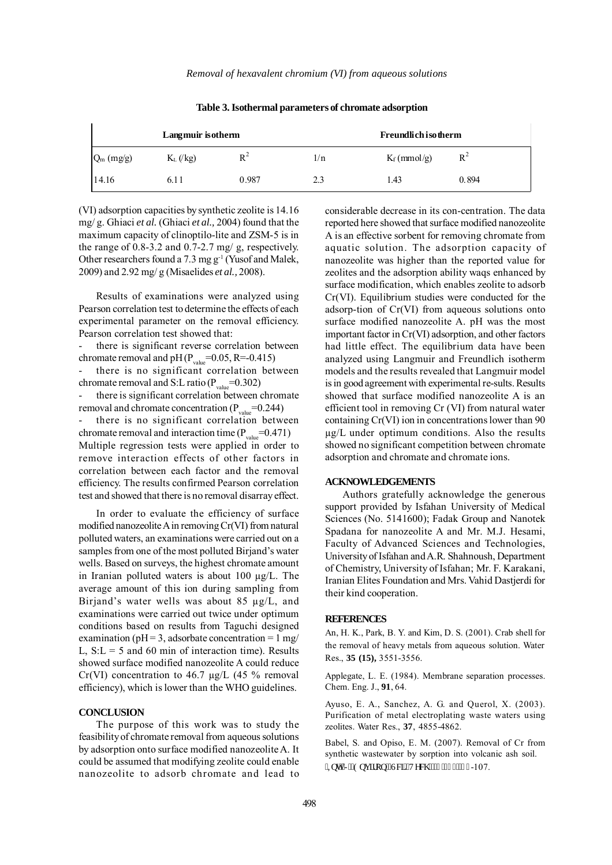| Langmuir isotherm |             |       |     | <b>Freundlich isotherm</b> |       |  |
|-------------------|-------------|-------|-----|----------------------------|-------|--|
| $Q_m$ (mg/g)      | $K_L$ (/kg) | $R^2$ | 1/n | $K_f$ (mmol/g)             | $R^2$ |  |
| 14.16             | 6.11        | 0.987 | 2.3 | 1.43                       | 0.894 |  |

**Table 3.Isothermal parameters of chromate adsorption**

(VI) adsorption capacities by synthetic zeolite is 14.16 mg/ g. Ghiaci *et al.* (Ghiaci *et al.,* 2004) found that the maximum capacity of clinoptilo-lite and ZSM-5 is in the range of 0.8-3.2 and 0.7-2.7 mg/ g, respectively. Other researchers found a 7.3 mg g-1 (Yusof and Malek, 2009) and 2.92 mg/ g (Misaelides *et al.,* 2008).

Results of examinations were analyzed using Pearson correlation test to determine the effects of each experimental parameter on the removal efficiency. Pearson correlation test showed that:

there is significant reverse correlation between chromate removal and pH  $(P_{value}=0.05, R=-0.415)$ there is no significant correlation between chromate removal and S:L ratio ( $P_{value}$ =0.302)

there is significant correlation between chromate removal and chromate concentration  $(P_{value}=0.244)$ 

there is no significant correlation between chromate removal and interaction time  $(P_{value}=0.471)$ Multiple regression tests were applied in order to remove interaction effects of other factors in correlation between each factor and the removal efficiency. The results confirmed Pearson correlation test and showed that there is no removal disarray effect.

In order to evaluate the efficiency of surface modified nanozeolite A in removing Cr(VI) from natural polluted waters, an examinations were carried out on a samples from one of the most polluted Birjand's water wells. Based on surveys, the highest chromate amount in Iranian polluted waters is about 100 µg/L. The average amount of this ion during sampling from Birjand's water wells was about 85 µg/L, and examinations were carried out twice under optimum conditions based on results from Taguchi designed examination ( $pH = 3$ , adsorbate concentration = 1 mg/ L,  $S: L = 5$  and 60 min of interaction time). Results showed surface modified nanozeolite A could reduce Cr(VI) concentration to 46.7  $\mu$ g/L (45 % removal efficiency), which is lower than the WHO guidelines.

# **CONCLUSION**

The purpose of this work was to study the feasibility of chromate removal from aqueous solutions by adsorption onto surface modified nanozeolite A. It could be assumed that modifying zeolite could enable nanozeolite to adsorb chromate and lead to considerable decrease in its con-centration. The data reported here showed that surface modified nanozeolite A is an effective sorbent for removing chromate from aquatic solution. The adsorption capacity of nanozeolite was higher than the reported value for zeolites and the adsorption ability waqs enhanced by surface modification, which enables zeolite to adsorb Cr(VI). Equilibrium studies were conducted for the adsorp-tion of Cr(VI) from aqueous solutions onto surface modified nanozeolite A. pH was the most important factor in Cr(VI) adsorption, and other factors had little effect. The equilibrium data have been analyzed using Langmuir and Freundlich isotherm models and the results revealed that Langmuir model is in good agreement with experimental re-sults. Results showed that surface modified nanozeolite A is an efficient tool in removing Cr (VI) from natural water containing Cr(VI) ion in concentrations lower than 90 µg/L under optimum conditions. Also the results showed no significant competition between chromate adsorption and chromate and chromate ions.

#### **ACKNOWLEDGEMENTS**

Authors gratefully acknowledge the generous support provided by Isfahan University of Medical Sciences (No. 5141600); Fadak Group and Nanotek Spadana for nanozeolite A and Mr. M.J. Hesami, Faculty of Advanced Sciences and Technologies, University of Isfahan and A.R. Shahnoush, Department of Chemistry, University of Isfahan; Mr. F. Karakani, Iranian Elites Foundation and Mrs. Vahid Dastjerdi for their kind cooperation.

#### **REFERENCES**

An, H. K., Park, B. Y. and Kim, D. S. (2001). Crab shell for the removal of heavy metals from aqueous solution. Water Res., **35 (15),** 3551-3556.

Applegate, L. E. (1984). Membrane separation processes. Chem. Eng. J., **91**, 64.

Ayuso, E. A., Sanchez, A. G. and Querol, X. (2003). Purification of metal electroplating waste waters using zeolites. Water Res., **37**, 4855-4862.

Babel, S. and Opiso, E. M. (2007). Removal of Cr from synthetic wastewater by sorption into volcanic ash soil. "KpwLUGpxktqp0Uek0'Vgej 0'6'\*3+"; :-107.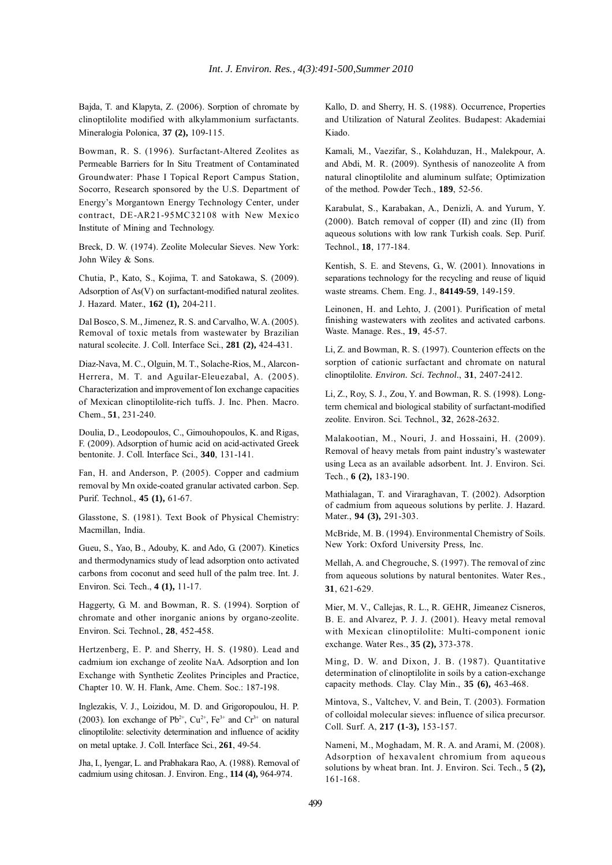Bajda, T. and Klapyta, Z. (2006). Sorption of chromate by clinoptilolite modified with alkylammonium surfactants. Mineralogia Polonica, **37 (2),** 109-115.

Bowman, R. S. (1996). Surfactant-Altered Zeolites as Permeable Barriers for In Situ Treatment of Contaminated Groundwater: Phase I Topical Report Campus Station, Socorro, Research sponsored by the U.S. Department of Energy's Morgantown Energy Technology Center, under contract, DE-AR21-95MC32108 with New Mexico Institute of Mining and Technology.

Breck, D. W. (1974). Zeolite Molecular Sieves. New York: John Wiley & Sons.

Chutia, P., Kato, S., Kojima, T. and Satokawa, S. (2009). Adsorption of As(V) on surfactant-modified natural zeolites. J. Hazard. Mater., **162 (1),** 204-211.

Dal Bosco, S. M., Jimenez, R. S. and Carvalho, W. A. (2005). Removal of toxic metals from wastewater by Brazilian natural scolecite. J. Coll. Interface Sci., **281 (2),** 424-431.

Diaz-Nava, M. C., Olguin, M. T., Solache-Rios, M., Alarcon-Herrera, M. T. and Aguilar-Eleuezabal, A. (2005). Characterization and improvement of Ion exchange capacities of Mexican clinoptilolite-rich tuffs. J. Inc. Phen. Macro. Chem., **51**, 231-240.

Doulia, D., Leodopoulos, C., Gimouhopoulos, K. and Rigas, F. (2009). Adsorption of humic acid on acid-activated Greek bentonite. J. Coll. Interface Sci., **340**, 131-141.

Fan, H. and Anderson, P. (2005). Copper and cadmium removal by Mn oxide-coated granular activated carbon. Sep. Purif. Technol., **45 (1),** 61-67.

Glasstone, S. (1981). Text Book of Physical Chemistry: Macmillan, India.

Gueu, S., Yao, B., Adouby, K. and Ado, G. (2007). Kinetics and thermodynamics study of lead adsorption onto activated carbons from coconut and seed hull of the palm tree. Int. J. Environ. Sci. Tech., **4 (1),** 11-17.

Haggerty, G. M. and Bowman, R. S. (1994). Sorption of chromate and other inorganic anions by organo-zeolite. Environ. Sci. Technol., **28**, 452-458.

Hertzenberg, E. P. and Sherry, H. S. (1980). Lead and cadmium ion exchange of zeolite NaA. Adsorption and Ion Exchange with Synthetic Zeolites Principles and Practice, Chapter 10. W. H. Flank, Ame. Chem. Soc.: 187-198.

Inglezakis, V. J., Loizidou, M. D. and Grigoropoulou, H. P. (2003). Ion exchange of  $Pb^{2+}$ ,  $Cu^{2+}$ ,  $Fe^{3+}$  and  $Cr^{3+}$  on natural clinoptilolite: selectivity determination and influence of acidity on metal uptake. J. Coll. Interface Sci., **261**, 49-54.

Jha, I., Iyengar, L. and Prabhakara Rao, A. (1988). Removal of cadmium using chitosan. J. Environ. Eng., **114 (4),** 964-974.

Kallo, D. and Sherry, H. S. (1988). Occurrence, Properties and Utilization of Natural Zeolites. Budapest: Akademiai Kiado.

Kamali, M., Vaezifar, S., Kolahduzan, H., Malekpour, A. and Abdi, M. R. (2009). Synthesis of nanozeolite A from natural clinoptilolite and aluminum sulfate; Optimization of the method. Powder Tech., **189**, 52-56.

Karabulat, S., Karabakan, A., Denizli, A. and Yurum, Y. (2000). Batch removal of copper (II) and zinc (II) from aqueous solutions with low rank Turkish coals. Sep. Purif. Technol., **18**, 177-184.

Kentish, S. E. and Stevens, G., W. (2001). Innovations in separations technology for the recycling and reuse of liquid waste streams. Chem. Eng. J., **84149-59**, 149-159.

Leinonen, H. and Lehto, J. (2001). Purification of metal finishing wastewaters with zeolites and activated carbons. Waste. Manage. Res., **19**, 45-57.

Li, Z. and Bowman, R. S. (1997). Counterion effects on the sorption of cationic surfactant and chromate on natural clinoptilolite. *Environ. Sci. Technol.*, **31**, 2407-2412.

Li, Z., Roy, S. J., Zou, Y. and Bowman, R. S. (1998). Longterm chemical and biological stability of surfactant-modified zeolite. Environ. Sci. Technol., **32**, 2628-2632.

Malakootian, M., Nouri, J. and Hossaini, H. (2009). Removal of heavy metals from paint industry's wastewater using Leca as an available adsorbent. Int. J. Environ. Sci. Tech., **6 (2),** 183-190.

Mathialagan, T. and Viraraghavan, T. (2002). Adsorption of cadmium from aqueous solutions by perlite. J. Hazard. Mater., **94 (3),** 291-303.

McBride, M. B. (1994). Environmental Chemistry of Soils. New York: Oxford University Press, Inc.

Mellah, A. and Chegrouche, S. (1997). The removal of zinc from aqueous solutions by natural bentonites. Water Res., **31**, 621-629.

Mier, M. V., Callejas, R. L., R. GEHR, Jimeanez Cisneros, B. E. and Alvarez, P. J. J. (2001). Heavy metal removal with Mexican clinoptilolite: Multi-component ionic exchange. Water Res., **35 (2),** 373-378.

Ming, D. W. and Dixon, J. B. (1987). Quantitative determination of clinoptilolite in soils by a cation-exchange capacity methods. Clay. Clay Min., **35 (6),** 463-468.

Mintova, S., Valtchev, V. and Bein, T. (2003). Formation of colloidal molecular sieves: influence of silica precursor. Coll. Surf. A, **217 (1-3),** 153-157.

Nameni, M., Moghadam, M. R. A. and Arami, M. (2008). Adsorption of hexavalent chromium from aqueous solutions by wheat bran. Int. J. Environ. Sci. Tech., **5 (2),** 161-168.